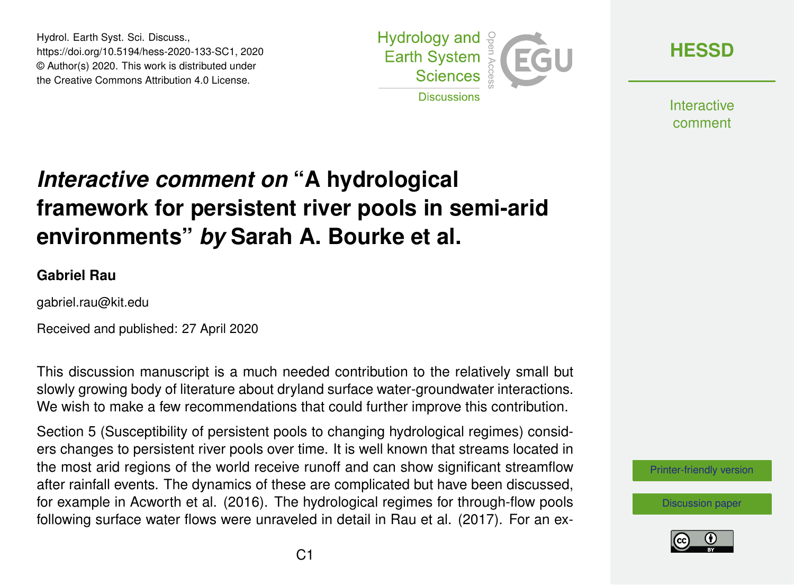Hydrol. Earth Syst. Sci. Discuss., https://doi.org/10.5194/hess-2020-133-SC1, 2020 © Author(s) 2020. This work is distributed under the Creative Commons Attribution 4.0 License.



**[HESSD](https://www.hydrol-earth-syst-sci-discuss.net/)**

**Interactive** comment

## *Interactive comment on* **"A hydrological framework for persistent river pools in semi-arid environments"** *by* **Sarah A. Bourke et al.**

## **Gabriel Rau**

gabriel.rau@kit.edu

Received and published: 27 April 2020

This discussion manuscript is a much needed contribution to the relatively small but slowly growing body of literature about dryland surface water-groundwater interactions. We wish to make a few recommendations that could further improve this contribution.

Section 5 (Susceptibility of persistent pools to changing hydrological regimes) considers changes to persistent river pools over time. It is well known that streams located in the most arid regions of the world receive runoff and can show significant streamflow after rainfall events. The dynamics of these are complicated but have been discussed, for example in Acworth et al. (2016). The hydrological regimes for through-flow pools following surface water flows were unraveled in detail in Rau et al. (2017). For an ex-

[Printer-friendly version](https://www.hydrol-earth-syst-sci-discuss.net/hess-2020-133/hess-2020-133-SC1-print.pdf)

[Discussion paper](https://www.hydrol-earth-syst-sci-discuss.net/hess-2020-133)

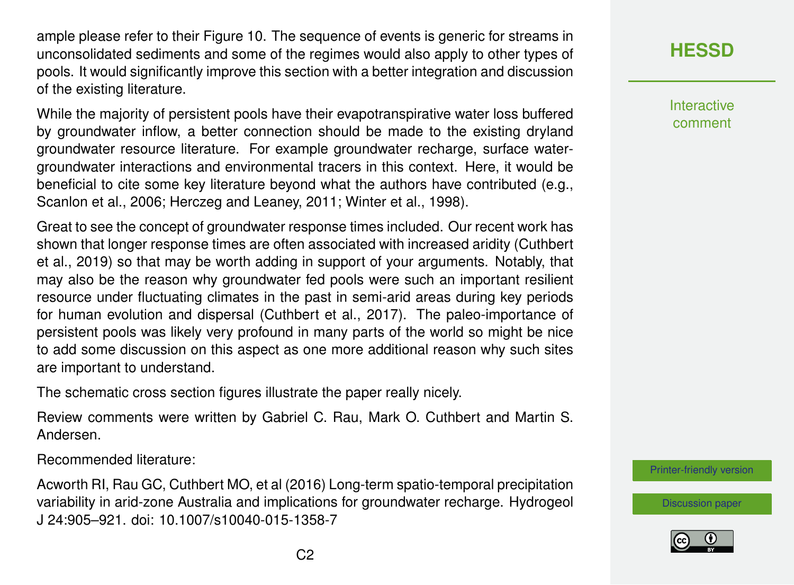ample please refer to their Figure 10. The sequence of events is generic for streams in unconsolidated sediments and some of the regimes would also apply to other types of pools. It would significantly improve this section with a better integration and discussion of the existing literature.

While the majority of persistent pools have their evapotranspirative water loss buffered by groundwater inflow, a better connection should be made to the existing dryland groundwater resource literature. For example groundwater recharge, surface watergroundwater interactions and environmental tracers in this context. Here, it would be beneficial to cite some key literature beyond what the authors have contributed (e.g., Scanlon et al., 2006; Herczeg and Leaney, 2011; Winter et al., 1998).

Great to see the concept of groundwater response times included. Our recent work has shown that longer response times are often associated with increased aridity (Cuthbert et al., 2019) so that may be worth adding in support of your arguments. Notably, that may also be the reason why groundwater fed pools were such an important resilient resource under fluctuating climates in the past in semi-arid areas during key periods for human evolution and dispersal (Cuthbert et al., 2017). The paleo-importance of persistent pools was likely very profound in many parts of the world so might be nice to add some discussion on this aspect as one more additional reason why such sites are important to understand.

The schematic cross section figures illustrate the paper really nicely.

Review comments were written by Gabriel C. Rau, Mark O. Cuthbert and Martin S. Andersen.

Recommended literature:

Acworth RI, Rau GC, Cuthbert MO, et al (2016) Long-term spatio-temporal precipitation variability in arid-zone Australia and implications for groundwater recharge. Hydrogeol J 24:905–921. doi: 10.1007/s10040-015-1358-7

## **[HESSD](https://www.hydrol-earth-syst-sci-discuss.net/)**

**Interactive** comment

[Printer-friendly version](https://www.hydrol-earth-syst-sci-discuss.net/hess-2020-133/hess-2020-133-SC1-print.pdf)

[Discussion paper](https://www.hydrol-earth-syst-sci-discuss.net/hess-2020-133)